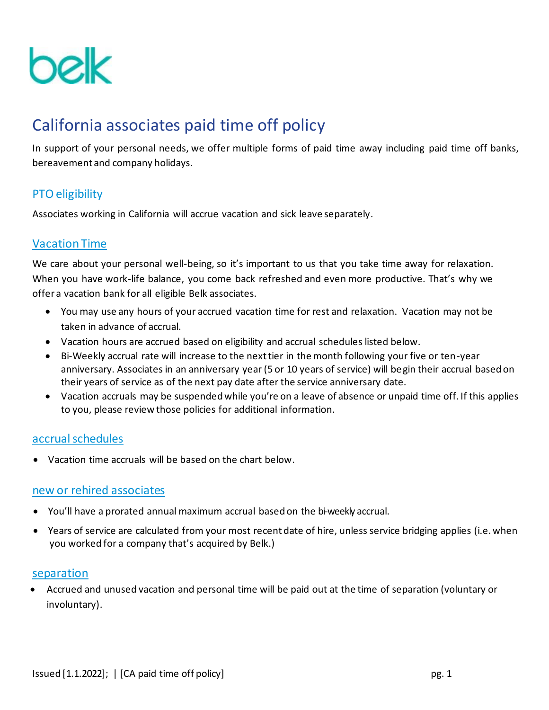

# California associates paid time off policy

In support of your personal needs, we offer multiple forms of paid time away including paid time off banks, bereavement and company holidays.

# PTO eligibility

Associates working in California will accrue vacation and sick leave separately.

# Vacation Time

We care about your personal well-being, so it's important to us that you take time away for relaxation. When you have work-life balance, you come back refreshed and even more productive. That's why we offer a vacation bank for all eligible Belk associates.

- You may use any hours of your accrued vacation time for rest and relaxation. Vacation may not be taken in advance of accrual.
- Vacation hours are accrued based on eligibility and accrual schedules listed below.
- Bi-Weekly accrual rate will increase to the next tier in the month following your five or ten-year anniversary. Associates in an anniversary year (5 or 10 years of service) will begin their accrual based on their years of service as of the next pay date after the service anniversary date.
- Vacation accruals may be suspended while you're on a leave of absence or unpaid time off. If this applies to you, please review those policies for additional information.

## accrual schedules

• Vacation time accruals will be based on the chart below.

## new or rehired associates

- You'll have a prorated annual maximum accrual based on the bi-weekly accrual.
- Years of service are calculated from your most recent date of hire, unless service bridging applies (i.e. when you worked for a company that's acquired by Belk.)

## separation

• Accrued and unused vacation and personal time will be paid out at the time of separation (voluntary or involuntary).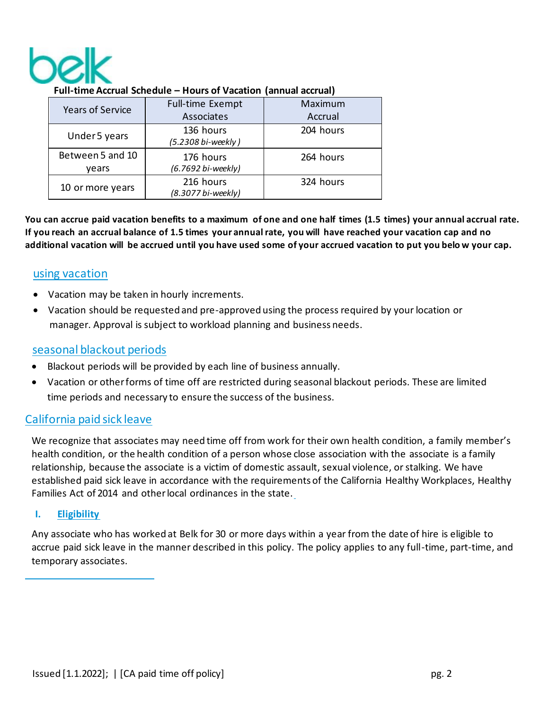

| <b>Years of Service</b> | Full-time Exempt   | Maximum   |
|-------------------------|--------------------|-----------|
|                         | Associates         | Accrual   |
| Under 5 years           | 136 hours          | 204 hours |
|                         | (5.2308 bi-weekly) |           |
| Between 5 and 10        | 176 hours          | 264 hours |
| vears                   | (6.7692 bi-weekly) |           |
| 10 or more years        | 216 hours          | 324 hours |
|                         | (8.3077 bi-weekly) |           |

#### **Full-time Accrual Schedule – Hours of Vacation (annual accrual)**

**You can accrue paid vacation benefits to a maximum of one and one half times (1.5 times) your annual accrual rate. If you reach an accrual balance of 1.5 times your annual rate, you will have reached your vacation cap and no additional vacation will be accrued until you have used some of your accrued vacation to put you belo w your cap.**

## using vacation

- Vacation may be taken in hourly increments.
- Vacation should be requested and pre-approved using the process required by your location or manager. Approval is subject to workload planning and business needs.

# seasonal blackout periods

- Blackout periods will be provided by each line of business annually.
- Vacation or otherforms of time off are restricted during seasonal blackout periods. These are limited time periods and necessary to ensure the success of the business.

# California paid sick leave

We recognize that associates may need time off from work for their own health condition, a family member's health condition, or the health condition of a person whose close association with the associate is a family relationship, because the associate is a victim of domestic assault, sexual violence, or stalking. We have established paid sick leave in accordance with the requirements of the California Healthy Workplaces, Healthy Families Act of 2014 and other local ordinances in the state.

#### **I. Eligibility**

Any associate who has worked at Belk for 30 or more days within a year from the date of hire is eligible to accrue paid sick leave in the manner described in this policy. The policy applies to any full-time, part-time, and temporary associates.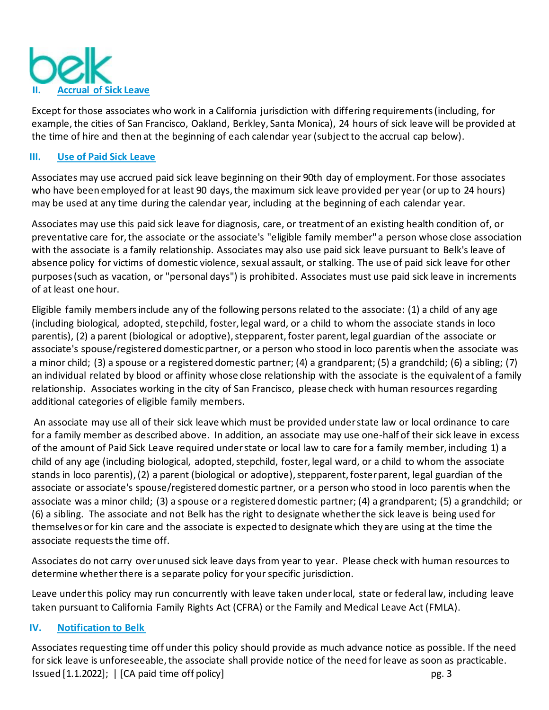

Except for those associates who work in a California jurisdiction with differing requirements (including, for example, the cities of San Francisco, Oakland, Berkley, Santa Monica), 24 hours of sick leave will be provided at the time of hire and then at the beginning of each calendar year (subject to the accrual cap below).

#### **III. Use of Paid Sick Leave**

Associates may use accrued paid sick leave beginning on their 90th day of employment. For those associates who have been employed for at least 90 days, the maximum sick leave provided per year (or up to 24 hours) may be used at any time during the calendar year, including at the beginning of each calendar year.

Associates may use this paid sick leave for diagnosis, care, or treatment of an existing health condition of, or preventative care for, the associate or the associate's "eligible family member" a person whose close association with the associate is a family relationship. Associates may also use paid sick leave pursuant to Belk's leave of absence policy for victims of domestic violence, sexual assault, or stalking. The use of paid sick leave for other purposes (such as vacation, or "personal days") is prohibited. Associates must use paid sick leave in increments of at least one hour.

Eligible family members include any of the following persons related to the associate: (1) a child of any age (including biological, adopted, stepchild, foster, legal ward, or a child to whom the associate stands in loco parentis), (2) a parent (biological or adoptive), stepparent, foster parent, legal guardian of the associate or associate's spouse/registered domestic partner, or a person who stood in loco parentis when the associate was a minor child; (3) a spouse or a registered domestic partner; (4) a grandparent; (5) a grandchild; (6) a sibling; (7) an individual related by blood or affinity whose close relationship with the associate is the equivalent of a family relationship. Associates working in the city of San Francisco, please check with human resources regarding additional categories of eligible family members.

An associate may use all of their sick leave which must be provided under state law or local ordinance to care for a family member as described above. In addition, an associate may use one-half of their sick leave in excess of the amount of Paid Sick Leave required under state or local law to care for a family member, including 1) a child of any age (including biological, adopted, stepchild, foster, legal ward, or a child to whom the associate stands in loco parentis), (2) a parent (biological or adoptive), stepparent, foster parent, legal guardian of the associate or associate's spouse/registered domestic partner, or a person who stood in loco parentis when the associate was a minor child; (3) a spouse or a registered domestic partner; (4) a grandparent; (5) a grandchild; or (6) a sibling. The associate and not Belk has the right to designate whether the sick leave is being used for themselves or for kin care and the associate is expected to designate which they are using at the time the associate requests the time off.

Associates do not carry over unused sick leave days from year to year. Please check with human resources to determine whether there is a separate policy for your specific jurisdiction.

Leave under this policy may run concurrently with leave taken under local, state or federal law, including leave taken pursuant to California Family Rights Act (CFRA) or the Family and Medical Leave Act (FMLA).

#### **IV. Notification to Belk**

Issued [1.1.2022]; | [CA paid time off policy] pg. 3 Associates requesting time off under this policy should provide as much advance notice as possible. If the need for sick leave is unforeseeable, the associate shall provide notice of the need for leave as soon as practicable.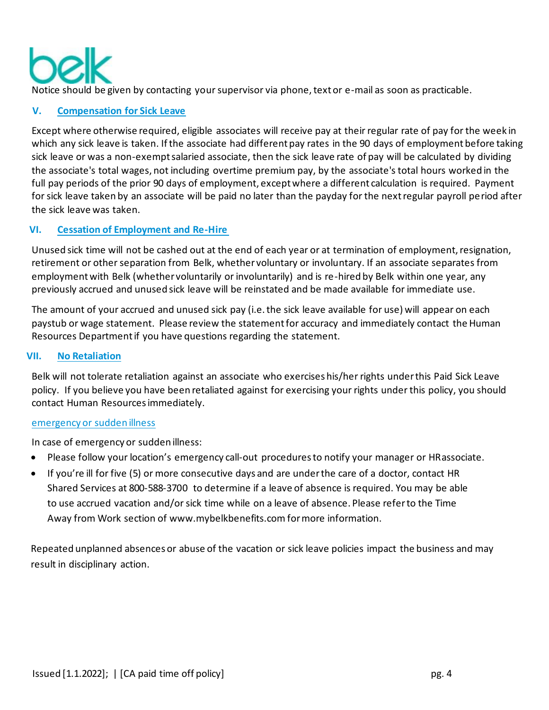Notice should be given by contacting your supervisor via phone, text or e-mail as soon as practicable.

## **V. Compensation for Sick Leave**

Except where otherwise required, eligible associates will receive pay at their regular rate of pay for the week in which any sick leave is taken. If the associate had different pay rates in the 90 days of employment before taking sick leave or was a non-exempt salaried associate, then the sick leave rate of pay will be calculated by dividing the associate's total wages, not including overtime premium pay, by the associate's total hours worked in the full pay periods of the prior 90 days of employment, except where a different calculation is required. Payment for sick leave taken by an associate will be paid no later than the payday for the next regular payroll period after the sick leave was taken.

## **VI. Cessation of Employment and Re-Hire**

Unused sick time will not be cashed out at the end of each year or at termination of employment, resignation, retirement or other separation from Belk, whether voluntary or involuntary. If an associate separates from employment with Belk (whether voluntarily or involuntarily) and is re-hired by Belk within one year, any previously accrued and unused sick leave will be reinstated and be made available for immediate use.

The amount of your accrued and unused sick pay (i.e. the sick leave available for use) will appear on each paystub or wage statement. Please review the statement for accuracy and immediately contact the Human Resources Department if you have questions regarding the statement.

#### **VII. No Retaliation**

Belk will not tolerate retaliation against an associate who exercises his/her rights under this Paid Sick Leave policy. If you believe you have been retaliated against for exercising your rights under this policy, you should contact Human Resources immediately.

#### emergency or sudden illness

In case of emergency or sudden illness:

- Please follow your location's emergency call-out procedures to notify your manager or HRassociate.
- If you're ill for five (5) or more consecutive days and are underthe care of a doctor, contact HR Shared Services at 800-588-3700 to determine if a leave of absence is required. You may be able to use accrued vacation and/or sick time while on a leave of absence. Please refer to the Time Away from Work section of [www.mybelkbenefits.com f](http://www.mybelkbenefits.com/)or more information.

Repeated unplanned absences or abuse of the vacation or sick leave policies impact the business and may result in disciplinary action.